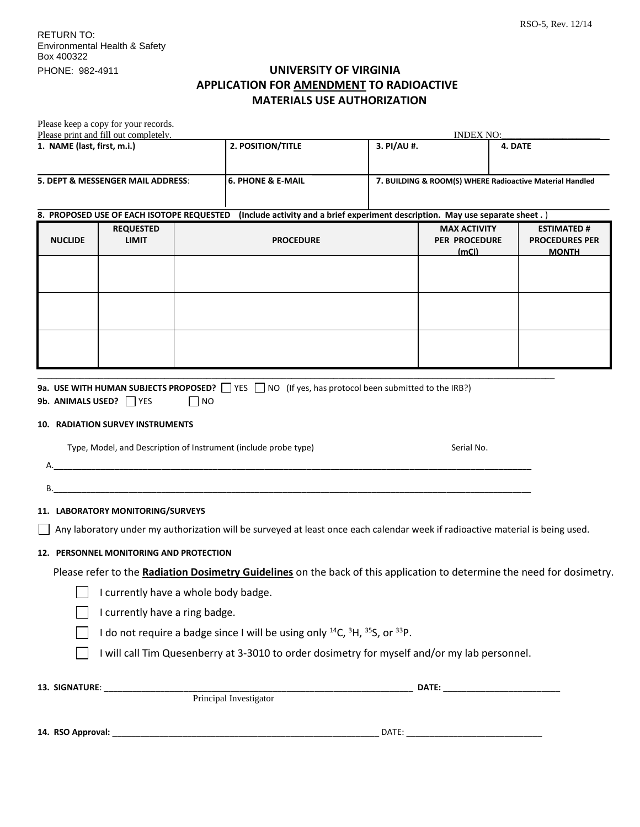## PHONE: 982-4911 **UNIVERSITY OF VIRGINIA APPLICATION FOR AMENDMENT TO RADIOACTIVE MATERIALS USE AUTHORIZATION**

|                                                                      |                                                                                                                                | Please keep a copy for your records.      |                  |                                                                                              |                                                      | <b>INDEX NO:</b>                                           |         |  |
|----------------------------------------------------------------------|--------------------------------------------------------------------------------------------------------------------------------|-------------------------------------------|------------------|----------------------------------------------------------------------------------------------|------------------------------------------------------|------------------------------------------------------------|---------|--|
| Please print and fill out completely.<br>1. NAME (last, first, m.i.) |                                                                                                                                |                                           |                  | 2. POSITION/TITLE                                                                            | 3. PI/AU #.                                          |                                                            | 4. DATE |  |
| 5. DEPT & MESSENGER MAIL ADDRESS:                                    |                                                                                                                                |                                           |                  | <b>6. PHONE &amp; E-MAIL</b>                                                                 |                                                      | 7. BUILDING & ROOM(S) WHERE Radioactive Material Handled   |         |  |
|                                                                      |                                                                                                                                | 8. PROPOSED USE OF EACH ISOTOPE REQUESTED |                  | (Include activity and a brief experiment description. May use separate sheet.)               |                                                      |                                                            |         |  |
|                                                                      | <b>REQUESTED</b><br><b>NUCLIDE</b><br><b>LIMIT</b>                                                                             |                                           | <b>PROCEDURE</b> |                                                                                              | <b>MAX ACTIVITY</b><br><b>PER PROCEDURE</b><br>(mCi) | <b>ESTIMATED#</b><br><b>PROCEDURES PER</b><br><b>MONTH</b> |         |  |
|                                                                      |                                                                                                                                |                                           |                  |                                                                                              |                                                      |                                                            |         |  |
|                                                                      |                                                                                                                                |                                           |                  |                                                                                              |                                                      |                                                            |         |  |
|                                                                      |                                                                                                                                |                                           |                  |                                                                                              |                                                      |                                                            |         |  |
|                                                                      |                                                                                                                                |                                           |                  |                                                                                              |                                                      |                                                            |         |  |
| В.                                                                   |                                                                                                                                |                                           |                  | Type, Model, and Description of Instrument (include probe type)                              |                                                      | Serial No.                                                 |         |  |
| 11. LABORATORY MONITORING/SURVEYS                                    |                                                                                                                                |                                           |                  |                                                                                              |                                                      |                                                            |         |  |
|                                                                      | Any laboratory under my authorization will be surveyed at least once each calendar week if radioactive material is being used. |                                           |                  |                                                                                              |                                                      |                                                            |         |  |
|                                                                      |                                                                                                                                | 12. PERSONNEL MONITORING AND PROTECTION   |                  |                                                                                              |                                                      |                                                            |         |  |
|                                                                      | Please refer to the Radiation Dosimetry Guidelines on the back of this application to determine the need for dosimetry.        |                                           |                  |                                                                                              |                                                      |                                                            |         |  |
|                                                                      | I currently have a whole body badge.                                                                                           |                                           |                  |                                                                                              |                                                      |                                                            |         |  |
|                                                                      | I currently have a ring badge.                                                                                                 |                                           |                  |                                                                                              |                                                      |                                                            |         |  |
|                                                                      | I do not require a badge since I will be using only <sup>14</sup> C, <sup>3</sup> H, <sup>35</sup> S, or <sup>33</sup> P.      |                                           |                  |                                                                                              |                                                      |                                                            |         |  |
|                                                                      |                                                                                                                                |                                           |                  | I will call Tim Quesenberry at 3-3010 to order dosimetry for myself and/or my lab personnel. |                                                      |                                                            |         |  |
|                                                                      |                                                                                                                                |                                           |                  |                                                                                              |                                                      |                                                            |         |  |
|                                                                      |                                                                                                                                |                                           |                  |                                                                                              |                                                      |                                                            |         |  |
|                                                                      |                                                                                                                                |                                           |                  |                                                                                              |                                                      |                                                            |         |  |